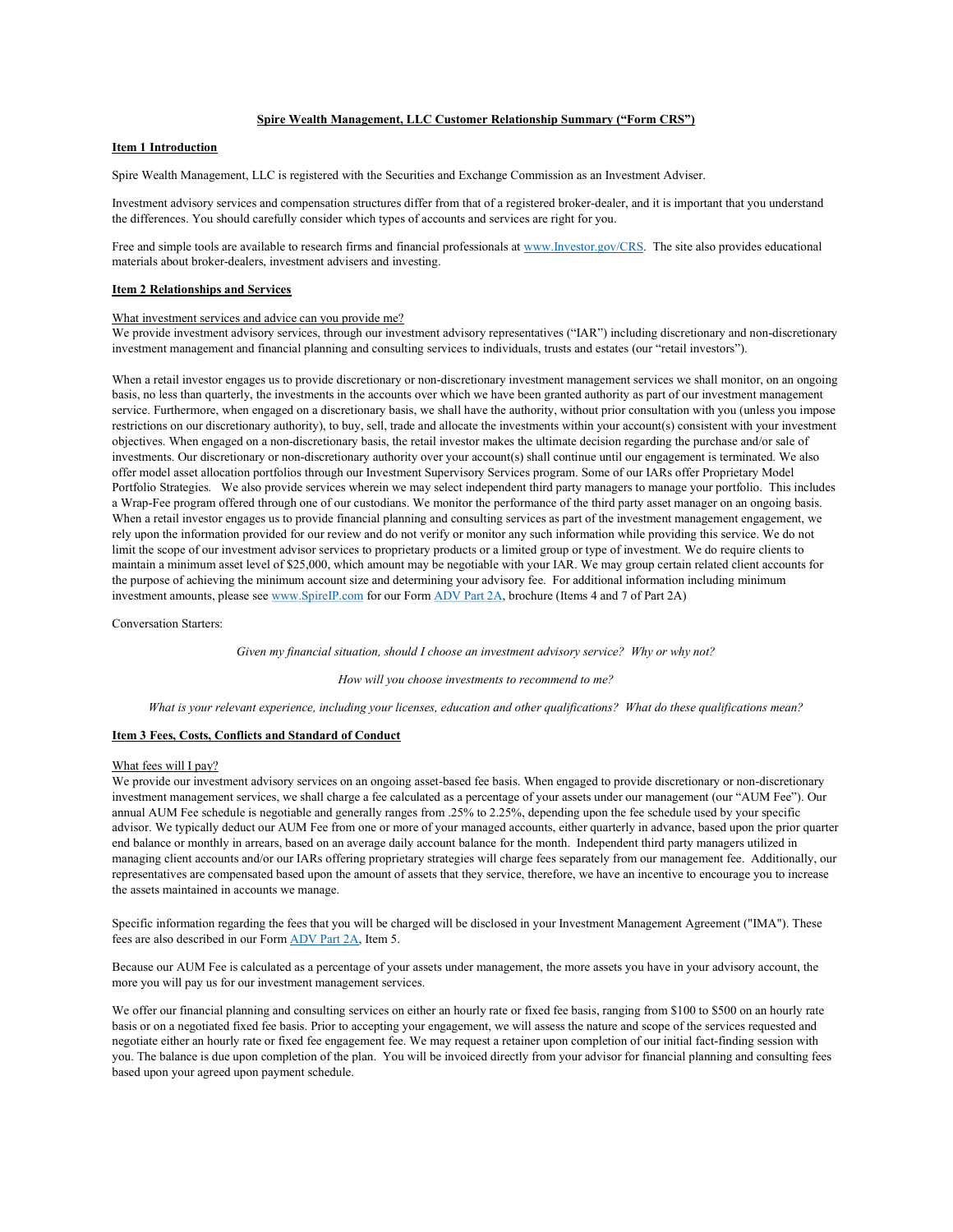# Spire Wealth Management, LLC Customer Relationship Summary ("Form CRS")

## Item 1 Introduction

Spire Wealth Management, LLC is registered with the Securities and Exchange Commission as an Investment Adviser.

Investment advisory services and compensation structures differ from that of a registered broker-dealer, and it is important that you understand the differences. You should carefully consider which types of accounts and services are right for you.

Free and simple tools are available to research firms and financial professionals at www.Investor.gov/CRS. The site also provides educational materials about broker-dealers, investment advisers and investing.

### Item 2 Relationships and Services

## What investment services and advice can you provide me?

We provide investment advisory services, through our investment advisory representatives ("IAR") including discretionary and non-discretionary investment management and financial planning and consulting services to individuals, trusts and estates (our "retail investors").

When a retail investor engages us to provide discretionary or non-discretionary investment management services we shall monitor, on an ongoing basis, no less than quarterly, the investments in the accounts over which we have been granted authority as part of our investment management service. Furthermore, when engaged on a discretionary basis, we shall have the authority, without prior consultation with you (unless you impose restrictions on our discretionary authority), to buy, sell, trade and allocate the investments within your account(s) consistent with your investment objectives. When engaged on a non-discretionary basis, the retail investor makes the ultimate decision regarding the purchase and/or sale of investments. Our discretionary or non-discretionary authority over your account(s) shall continue until our engagement is terminated. We also offer model asset allocation portfolios through our Investment Supervisory Services program. Some of our IARs offer Proprietary Model Portfolio Strategies. We also provide services wherein we may select independent third party managers to manage your portfolio. This includes a Wrap-Fee program offered through one of our custodians. We monitor the performance of the third party asset manager on an ongoing basis. When a retail investor engages us to provide financial planning and consulting services as part of the investment management engagement, we rely upon the information provided for our review and do not verify or monitor any such information while providing this service. We do not limit the scope of our investment advisor services to proprietary products or a limited group or type of investment. We do require clients to maintain a minimum asset level of \$25,000, which amount may be negotiable with your IAR. We may group certain related client accounts for the purpose of achieving the minimum account size and determining your advisory fee. For additional information including minimum investment amounts, please see www.SpireIP.com for our Form ADV Part 2A, brochure (Items 4 and 7 of Part 2A)

Conversation Starters:

Given my financial situation, should I choose an investment advisory service? Why or why not?

How will you choose investments to recommend to me?

What is your relevant experience, including your licenses, education and other qualifications? What do these qualifications mean?

## Item 3 Fees, Costs, Conflicts and Standard of Conduct

#### What fees will I pay?

We provide our investment advisory services on an ongoing asset-based fee basis. When engaged to provide discretionary or non-discretionary investment management services, we shall charge a fee calculated as a percentage of your assets under our management (our "AUM Fee"). Our annual AUM Fee schedule is negotiable and generally ranges from .25% to 2.25%, depending upon the fee schedule used by your specific advisor. We typically deduct our AUM Fee from one or more of your managed accounts, either quarterly in advance, based upon the prior quarter end balance or monthly in arrears, based on an average daily account balance for the month. Independent third party managers utilized in managing client accounts and/or our IARs offering proprietary strategies will charge fees separately from our management fee. Additionally, our representatives are compensated based upon the amount of assets that they service, therefore, we have an incentive to encourage you to increase the assets maintained in accounts we manage.

Specific information regarding the fees that you will be charged will be disclosed in your Investment Management Agreement ("IMA"). These fees are also described in our Form ADV Part 2A, Item 5.

Because our AUM Fee is calculated as a percentage of your assets under management, the more assets you have in your advisory account, the more you will pay us for our investment management services.

We offer our financial planning and consulting services on either an hourly rate or fixed fee basis, ranging from \$100 to \$500 on an hourly rate basis or on a negotiated fixed fee basis. Prior to accepting your engagement, we will assess the nature and scope of the services requested and negotiate either an hourly rate or fixed fee engagement fee. We may request a retainer upon completion of our initial fact-finding session with you. The balance is due upon completion of the plan. You will be invoiced directly from your advisor for financial planning and consulting fees based upon your agreed upon payment schedule.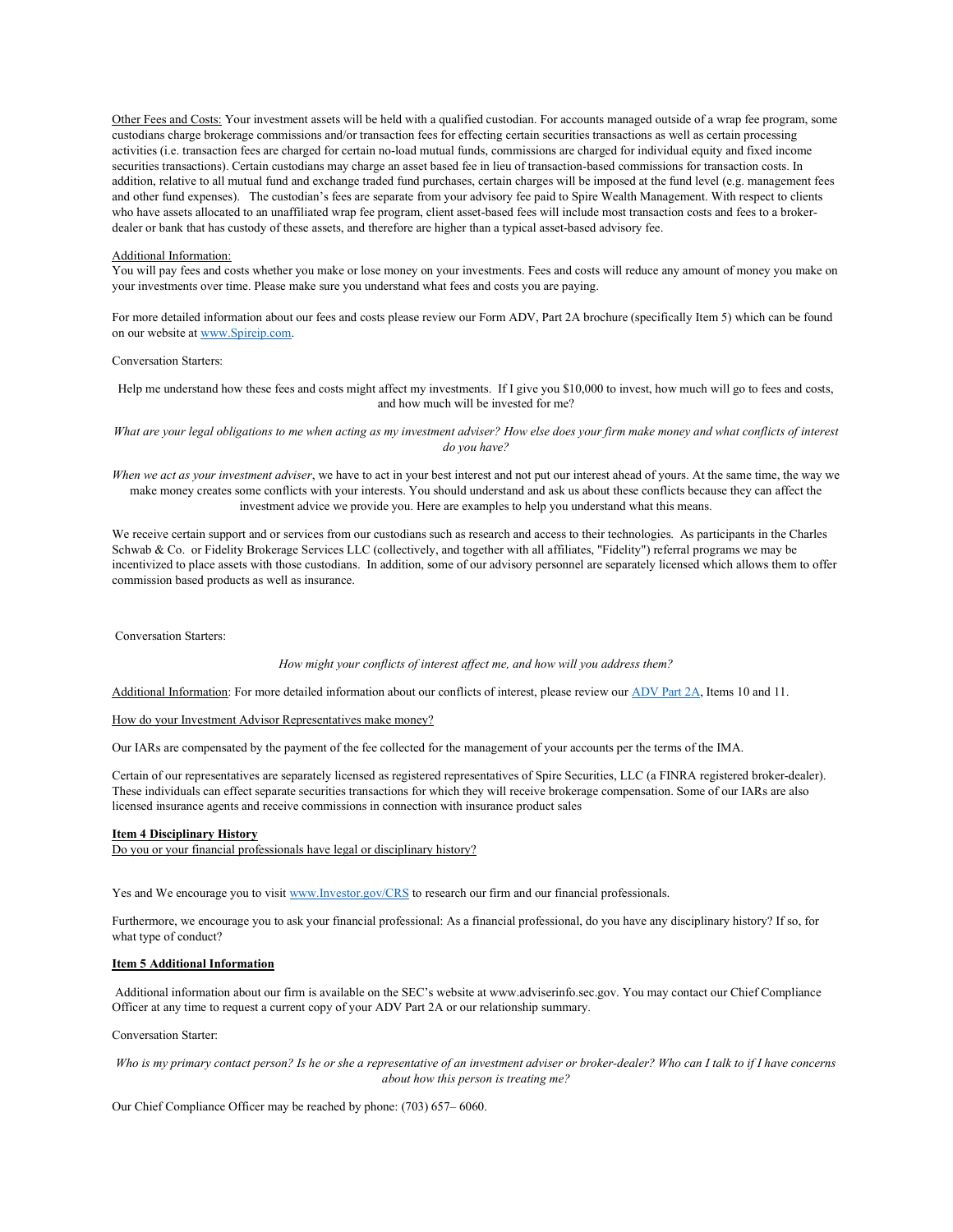Other Fees and Costs: Your investment assets will be held with a qualified custodian. For accounts managed outside of a wrap fee program, some custodians charge brokerage commissions and/or transaction fees for effecting certain securities transactions as well as certain processing activities (i.e. transaction fees are charged for certain no-load mutual funds, commissions are charged for individual equity and fixed income securities transactions). Certain custodians may charge an asset based fee in lieu of transaction-based commissions for transaction costs. In addition, relative to all mutual fund and exchange traded fund purchases, certain charges will be imposed at the fund level (e.g. management fees and other fund expenses). The custodian's fees are separate from your advisory fee paid to Spire Wealth Management. With respect to clients who have assets allocated to an unaffiliated wrap fee program, client asset-based fees will include most transaction costs and fees to a brokerdealer or bank that has custody of these assets, and therefore are higher than a typical asset-based advisory fee.

#### Additional Information:

You will pay fees and costs whether you make or lose money on your investments. Fees and costs will reduce any amount of money you make on your investments over time. Please make sure you understand what fees and costs you are paying.

For more detailed information about our fees and costs please review our Form ADV, Part 2A brochure (specifically Item 5) which can be found on our website at www.Spireip.com.

Conversation Starters:

Help me understand how these fees and costs might affect my investments. If I give you \$10,000 to invest, how much will go to fees and costs, and how much will be invested for me?

What are your legal obligations to me when acting as my investment adviser? How else does your firm make money and what conflicts of interest do you have?

When we act as your investment adviser, we have to act in your best interest and not put our interest ahead of yours. At the same time, the way we make money creates some conflicts with your interests. You should understand and ask us about these conflicts because they can affect the investment advice we provide you. Here are examples to help you understand what this means.

We receive certain support and or services from our custodians such as research and access to their technologies. As participants in the Charles Schwab & Co. or Fidelity Brokerage Services LLC (collectively, and together with all affiliates, "Fidelity") referral programs we may be incentivized to place assets with those custodians. In addition, some of our advisory personnel are separately licensed which allows them to offer commission based products as well as insurance.

Conversation Starters:

How might your conflicts of interest affect me, and how will you address them?

Additional Information: For more detailed information about our conflicts of interest, please review our ADV Part 2A, Items 10 and 11.

How do your Investment Advisor Representatives make money?

Our IARs are compensated by the payment of the fee collected for the management of your accounts per the terms of the IMA.

Certain of our representatives are separately licensed as registered representatives of Spire Securities, LLC (a FINRA registered broker-dealer). These individuals can effect separate securities transactions for which they will receive brokerage compensation. Some of our IARs are also licensed insurance agents and receive commissions in connection with insurance product sales

#### Item 4 Disciplinary History

Do you or your financial professionals have legal or disciplinary history?

Yes and We encourage you to visit www.Investor.gov/CRS to research our firm and our financial professionals.

Furthermore, we encourage you to ask your financial professional: As a financial professional, do you have any disciplinary history? If so, for what type of conduct?

### Item 5 Additional Information

 Additional information about our firm is available on the SEC's website at www.adviserinfo.sec.gov. You may contact our Chief Compliance Officer at any time to request a current copy of your ADV Part 2A or our relationship summary.

#### Conversation Starter:

Who is my primary contact person? Is he or she a representative of an investment adviser or broker-dealer? Who can I talk to if I have concerns about how this person is treating me?

Our Chief Compliance Officer may be reached by phone: (703) 657– 6060.